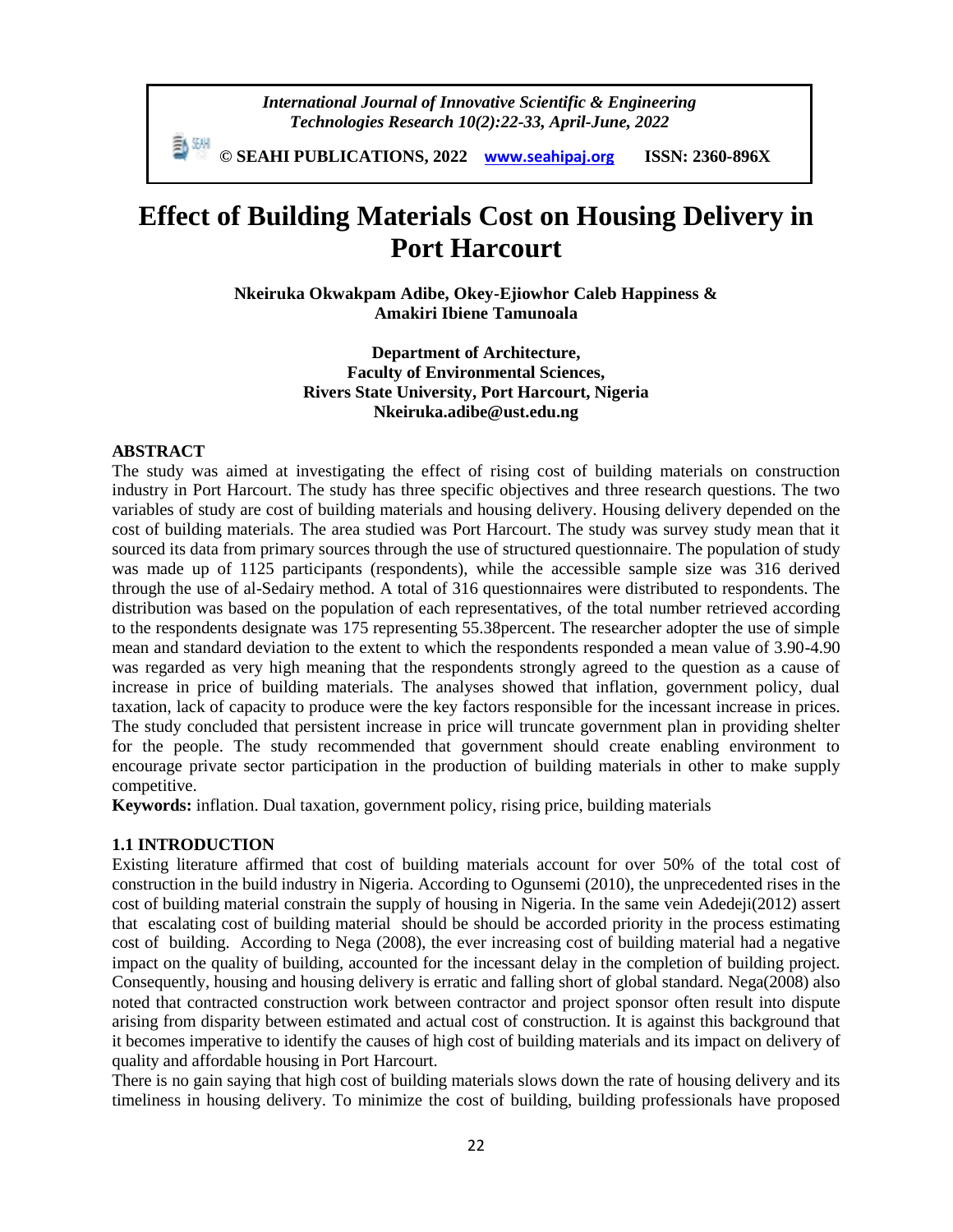*International Journal of Innovative Scientific & Engineering Technologies Research 10(2):22-33, April-June, 2022*

 **© SEAHI PUBLICATIONS, 2022 [www.seahipaj.org](http://www.seahipaj.org/) ISSN: 2360-896X**

# **Effect of Building Materials Cost on Housing Delivery in Port Harcourt**

**Nkeiruka Okwakpam Adibe, Okey-Ejiowhor Caleb Happiness & Amakiri Ibiene Tamunoala**

> **Department of Architecture, Faculty of Environmental Sciences, Rivers State University, Port Harcourt, Nigeria Nkeiruka.adibe@ust.edu.ng**

#### **ABSTRACT**

The study was aimed at investigating the effect of rising cost of building materials on construction industry in Port Harcourt. The study has three specific objectives and three research questions. The two variables of study are cost of building materials and housing delivery. Housing delivery depended on the cost of building materials. The area studied was Port Harcourt. The study was survey study mean that it sourced its data from primary sources through the use of structured questionnaire. The population of study was made up of 1125 participants (respondents), while the accessible sample size was 316 derived through the use of al-Sedairy method. A total of 316 questionnaires were distributed to respondents. The distribution was based on the population of each representatives, of the total number retrieved according to the respondents designate was 175 representing 55.38percent. The researcher adopter the use of simple mean and standard deviation to the extent to which the respondents responded a mean value of 3.90-4.90 was regarded as very high meaning that the respondents strongly agreed to the question as a cause of increase in price of building materials. The analyses showed that inflation, government policy, dual taxation, lack of capacity to produce were the key factors responsible for the incessant increase in prices. The study concluded that persistent increase in price will truncate government plan in providing shelter for the people. The study recommended that government should create enabling environment to encourage private sector participation in the production of building materials in other to make supply competitive.

**Keywords:** inflation. Dual taxation, government policy, rising price, building materials

#### **1.1 INTRODUCTION**

Existing literature affirmed that cost of building materials account for over 50% of the total cost of construction in the build industry in Nigeria. According to Ogunsemi (2010), the unprecedented rises in the cost of building material constrain the supply of housing in Nigeria. In the same vein Adedeji(2012) assert that escalating cost of building material should be should be accorded priority in the process estimating cost of building. According to Nega (2008), the ever increasing cost of building material had a negative impact on the quality of building, accounted for the incessant delay in the completion of building project. Consequently, housing and housing delivery is erratic and falling short of global standard. Nega(2008) also noted that contracted construction work between contractor and project sponsor often result into dispute arising from disparity between estimated and actual cost of construction. It is against this background that it becomes imperative to identify the causes of high cost of building materials and its impact on delivery of quality and affordable housing in Port Harcourt.

There is no gain saying that high cost of building materials slows down the rate of housing delivery and its timeliness in housing delivery. To minimize the cost of building, building professionals have proposed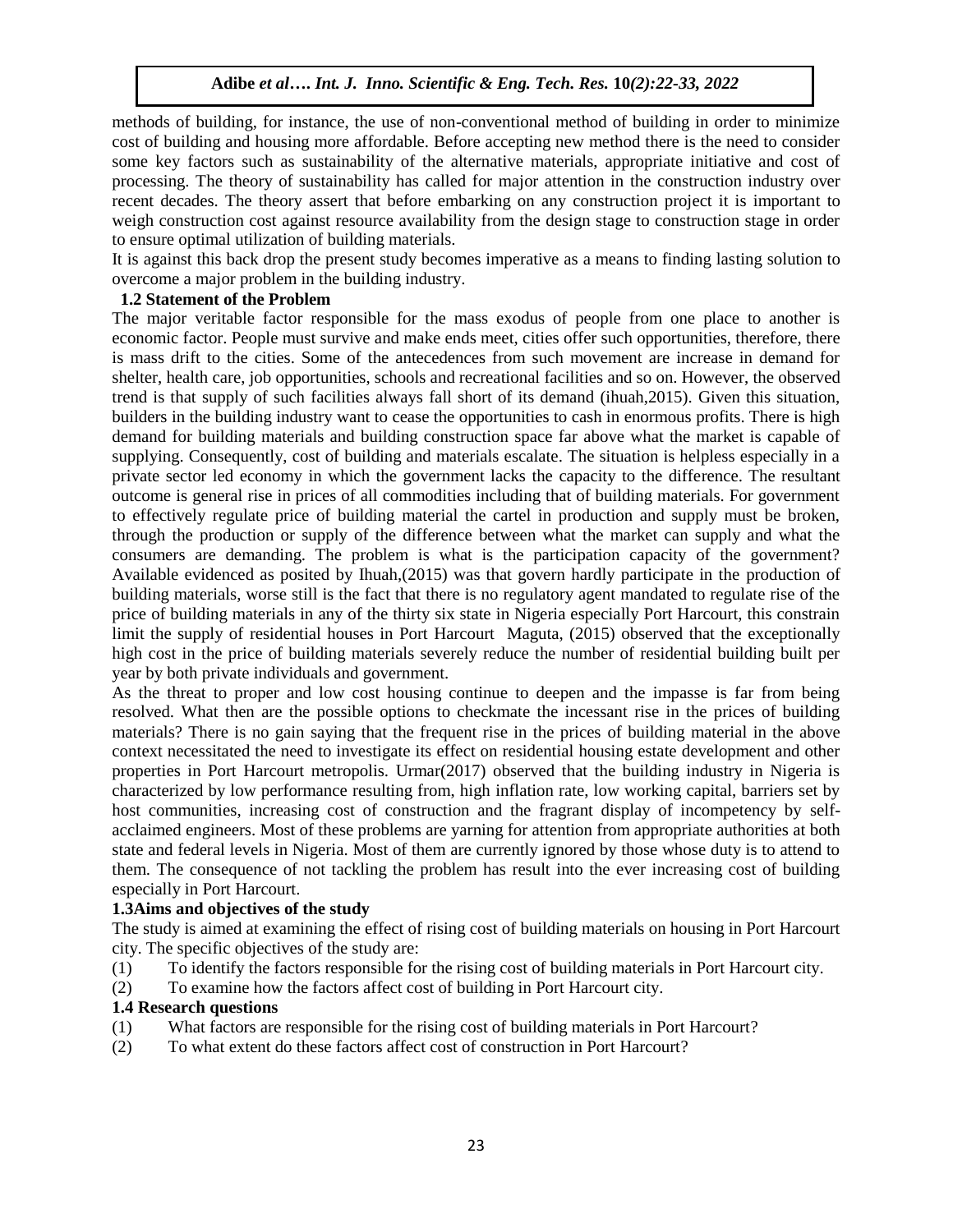methods of building, for instance, the use of non-conventional method of building in order to minimize cost of building and housing more affordable. Before accepting new method there is the need to consider some key factors such as sustainability of the alternative materials, appropriate initiative and cost of processing. The theory of sustainability has called for major attention in the construction industry over recent decades. The theory assert that before embarking on any construction project it is important to weigh construction cost against resource availability from the design stage to construction stage in order to ensure optimal utilization of building materials.

It is against this back drop the present study becomes imperative as a means to finding lasting solution to overcome a major problem in the building industry.

## **1.2 Statement of the Problem**

The major veritable factor responsible for the mass exodus of people from one place to another is economic factor. People must survive and make ends meet, cities offer such opportunities, therefore, there is mass drift to the cities. Some of the antecedences from such movement are increase in demand for shelter, health care, job opportunities, schools and recreational facilities and so on. However, the observed trend is that supply of such facilities always fall short of its demand (ihuah,2015). Given this situation, builders in the building industry want to cease the opportunities to cash in enormous profits. There is high demand for building materials and building construction space far above what the market is capable of supplying. Consequently, cost of building and materials escalate. The situation is helpless especially in a private sector led economy in which the government lacks the capacity to the difference. The resultant outcome is general rise in prices of all commodities including that of building materials. For government to effectively regulate price of building material the cartel in production and supply must be broken, through the production or supply of the difference between what the market can supply and what the consumers are demanding. The problem is what is the participation capacity of the government? Available evidenced as posited by Ihuah,(2015) was that govern hardly participate in the production of building materials, worse still is the fact that there is no regulatory agent mandated to regulate rise of the price of building materials in any of the thirty six state in Nigeria especially Port Harcourt, this constrain limit the supply of residential houses in Port Harcourt Maguta, (2015) observed that the exceptionally high cost in the price of building materials severely reduce the number of residential building built per year by both private individuals and government.

As the threat to proper and low cost housing continue to deepen and the impasse is far from being resolved. What then are the possible options to checkmate the incessant rise in the prices of building materials? There is no gain saying that the frequent rise in the prices of building material in the above context necessitated the need to investigate its effect on residential housing estate development and other properties in Port Harcourt metropolis. Urmar(2017) observed that the building industry in Nigeria is characterized by low performance resulting from, high inflation rate, low working capital, barriers set by host communities, increasing cost of construction and the fragrant display of incompetency by selfacclaimed engineers. Most of these problems are yarning for attention from appropriate authorities at both state and federal levels in Nigeria. Most of them are currently ignored by those whose duty is to attend to them. The consequence of not tackling the problem has result into the ever increasing cost of building especially in Port Harcourt.

## **1.3Aims and objectives of the study**

The study is aimed at examining the effect of rising cost of building materials on housing in Port Harcourt city. The specific objectives of the study are:

- (1) To identify the factors responsible for the rising cost of building materials in Port Harcourt city.
- (2) To examine how the factors affect cost of building in Port Harcourt city.

## **1.4 Research questions**

- (1) What factors are responsible for the rising cost of building materials in Port Harcourt?
- (2) To what extent do these factors affect cost of construction in Port Harcourt?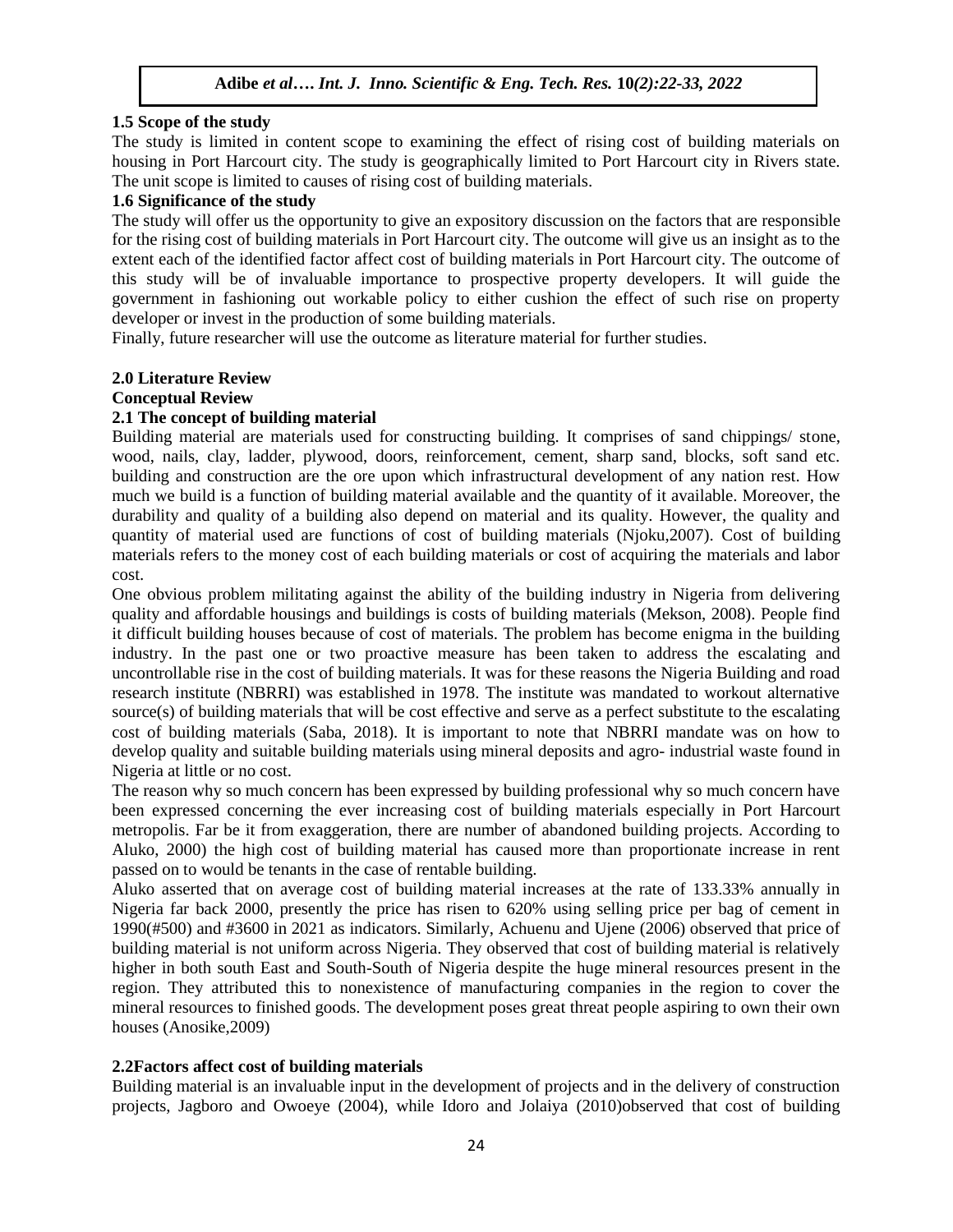## **1.5 Scope of the study**

The study is limited in content scope to examining the effect of rising cost of building materials on housing in Port Harcourt city. The study is geographically limited to Port Harcourt city in Rivers state. The unit scope is limited to causes of rising cost of building materials.

#### **1.6 Significance of the study**

The study will offer us the opportunity to give an expository discussion on the factors that are responsible for the rising cost of building materials in Port Harcourt city. The outcome will give us an insight as to the extent each of the identified factor affect cost of building materials in Port Harcourt city. The outcome of this study will be of invaluable importance to prospective property developers. It will guide the government in fashioning out workable policy to either cushion the effect of such rise on property developer or invest in the production of some building materials.

Finally, future researcher will use the outcome as literature material for further studies.

## **2.0 Literature Review**

#### **Conceptual Review**

## **2.1 The concept of building material**

Building material are materials used for constructing building. It comprises of sand chippings/ stone, wood, nails, clay, ladder, plywood, doors, reinforcement, cement, sharp sand, blocks, soft sand etc. building and construction are the ore upon which infrastructural development of any nation rest. How much we build is a function of building material available and the quantity of it available. Moreover, the durability and quality of a building also depend on material and its quality. However, the quality and quantity of material used are functions of cost of building materials (Njoku,2007). Cost of building materials refers to the money cost of each building materials or cost of acquiring the materials and labor cost.

One obvious problem militating against the ability of the building industry in Nigeria from delivering quality and affordable housings and buildings is costs of building materials (Mekson, 2008). People find it difficult building houses because of cost of materials. The problem has become enigma in the building industry. In the past one or two proactive measure has been taken to address the escalating and uncontrollable rise in the cost of building materials. It was for these reasons the Nigeria Building and road research institute (NBRRI) was established in 1978. The institute was mandated to workout alternative source(s) of building materials that will be cost effective and serve as a perfect substitute to the escalating cost of building materials (Saba, 2018). It is important to note that NBRRI mandate was on how to develop quality and suitable building materials using mineral deposits and agro- industrial waste found in Nigeria at little or no cost.

The reason why so much concern has been expressed by building professional why so much concern have been expressed concerning the ever increasing cost of building materials especially in Port Harcourt metropolis. Far be it from exaggeration, there are number of abandoned building projects. According to Aluko, 2000) the high cost of building material has caused more than proportionate increase in rent passed on to would be tenants in the case of rentable building.

Aluko asserted that on average cost of building material increases at the rate of 133.33% annually in Nigeria far back 2000, presently the price has risen to 620% using selling price per bag of cement in 1990(#500) and #3600 in 2021 as indicators. Similarly, Achuenu and Ujene (2006) observed that price of building material is not uniform across Nigeria. They observed that cost of building material is relatively higher in both south East and South-South of Nigeria despite the huge mineral resources present in the region. They attributed this to nonexistence of manufacturing companies in the region to cover the mineral resources to finished goods. The development poses great threat people aspiring to own their own houses (Anosike,2009)

## **2.2Factors affect cost of building materials**

Building material is an invaluable input in the development of projects and in the delivery of construction projects, Jagboro and Owoeye (2004), while Idoro and Jolaiya (2010)observed that cost of building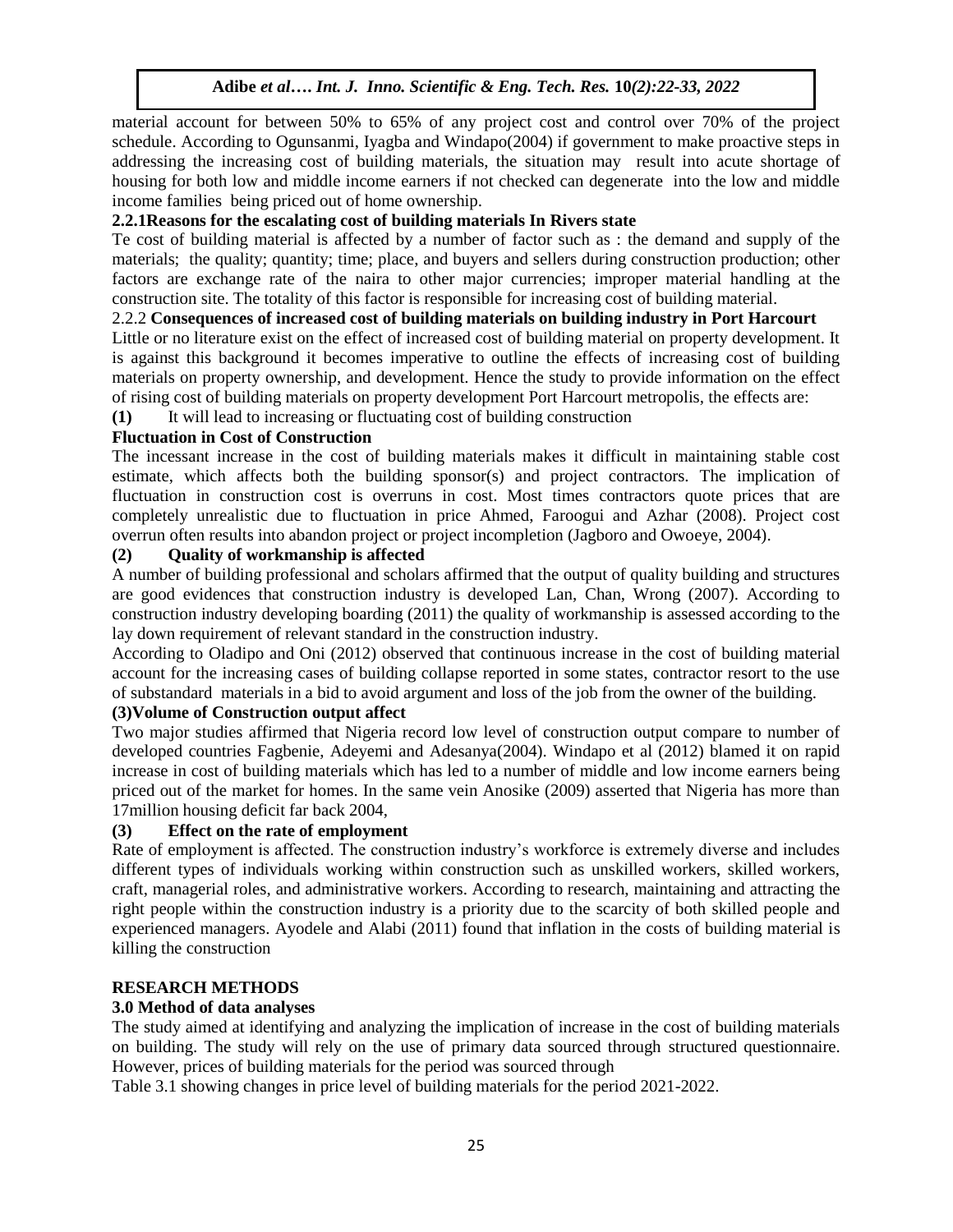material account for between 50% to 65% of any project cost and control over 70% of the project schedule. According to Ogunsanmi, Iyagba and Windapo(2004) if government to make proactive steps in addressing the increasing cost of building materials, the situation may result into acute shortage of housing for both low and middle income earners if not checked can degenerate into the low and middle income families being priced out of home ownership.

## **2.2.1Reasons for the escalating cost of building materials In Rivers state**

Te cost of building material is affected by a number of factor such as : the demand and supply of the materials; the quality; quantity; time; place, and buyers and sellers during construction production; other factors are exchange rate of the naira to other major currencies; improper material handling at the construction site. The totality of this factor is responsible for increasing cost of building material.

## 2.2.2 **Consequences of increased cost of building materials on building industry in Port Harcourt**

Little or no literature exist on the effect of increased cost of building material on property development. It is against this background it becomes imperative to outline the effects of increasing cost of building materials on property ownership, and development. Hence the study to provide information on the effect of rising cost of building materials on property development Port Harcourt metropolis, the effects are:

**(1)** It will lead to increasing or fluctuating cost of building construction

## **Fluctuation in Cost of Construction**

The incessant increase in the cost of building materials makes it difficult in maintaining stable cost estimate, which affects both the building sponsor(s) and project contractors. The implication of fluctuation in construction cost is overruns in cost. Most times contractors quote prices that are completely unrealistic due to fluctuation in price Ahmed, Faroogui and Azhar (2008). Project cost overrun often results into abandon project or project incompletion (Jagboro and Owoeye, 2004).

## **(2) Quality of workmanship is affected**

A number of building professional and scholars affirmed that the output of quality building and structures are good evidences that construction industry is developed Lan, Chan, Wrong (2007). According to construction industry developing boarding (2011) the quality of workmanship is assessed according to the lay down requirement of relevant standard in the construction industry.

According to Oladipo and Oni (2012) observed that continuous increase in the cost of building material account for the increasing cases of building collapse reported in some states, contractor resort to the use of substandard materials in a bid to avoid argument and loss of the job from the owner of the building.

## **(3)Volume of Construction output affect**

Two major studies affirmed that Nigeria record low level of construction output compare to number of developed countries Fagbenie, Adeyemi and Adesanya(2004). Windapo et al (2012) blamed it on rapid increase in cost of building materials which has led to a number of middle and low income earners being priced out of the market for homes. In the same vein Anosike (2009) asserted that Nigeria has more than 17million housing deficit far back 2004,

## **(3) Effect on the rate of employment**

Rate of employment is affected. The construction industry's workforce is extremely diverse and includes different types of individuals working within construction such as unskilled workers, skilled workers, craft, managerial roles, and administrative workers. According to research, maintaining and attracting the right people within the construction industry is a priority due to the scarcity of both skilled people and experienced managers. Ayodele and Alabi (2011) found that inflation in the costs of building material is killing the construction

## **RESEARCH METHODS**

## **3.0 Method of data analyses**

The study aimed at identifying and analyzing the implication of increase in the cost of building materials on building. The study will rely on the use of primary data sourced through structured questionnaire. However, prices of building materials for the period was sourced through

Table 3.1 showing changes in price level of building materials for the period 2021-2022.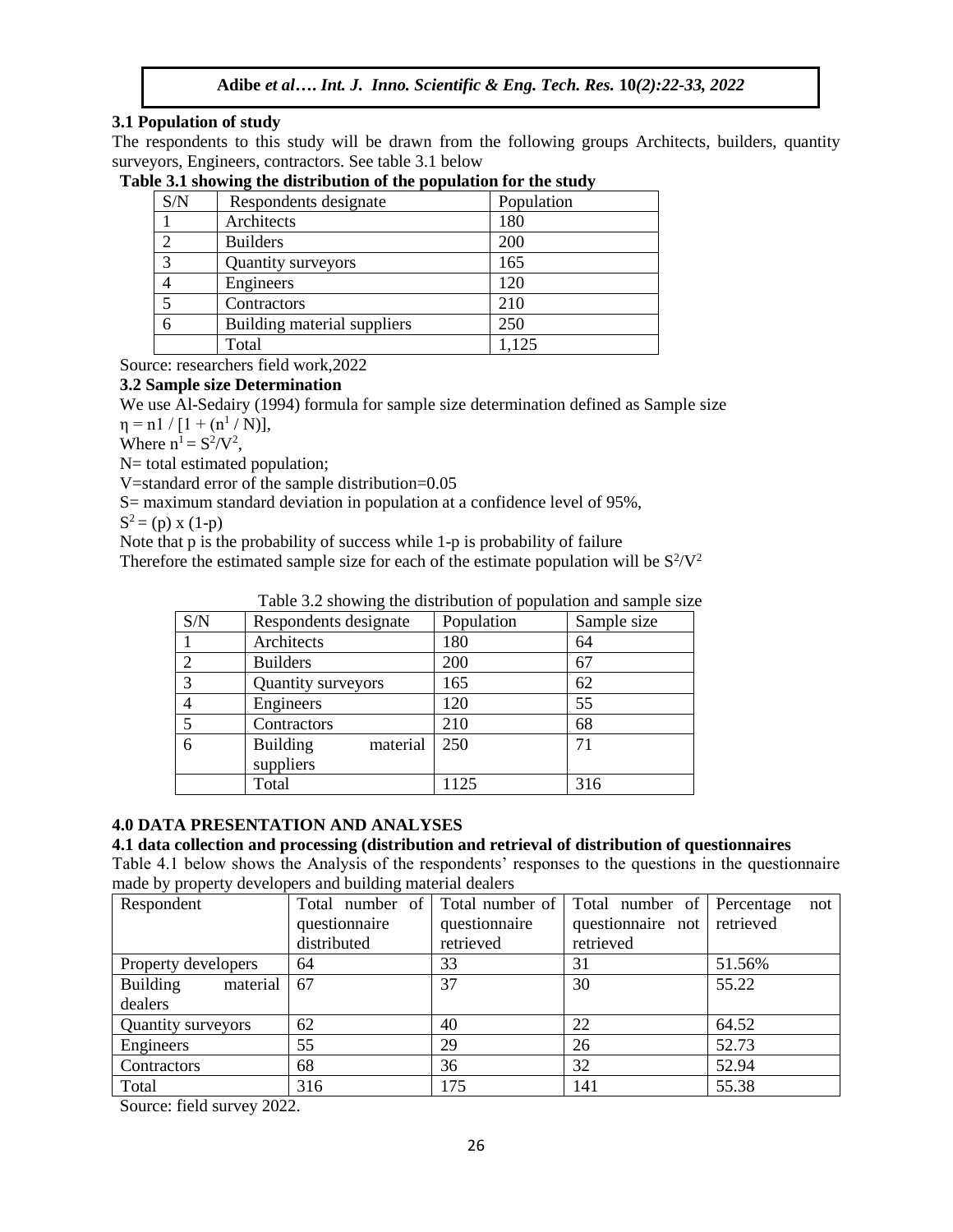## **3.1 Population of study**

The respondents to this study will be drawn from the following groups Architects, builders, quantity surveyors, Engineers, contractors. See table 3.1 below

| S/N | Respondents designate       | Population |
|-----|-----------------------------|------------|
|     | Architects                  | 180        |
| σ   | <b>Builders</b>             | 200        |
| ◠   | Quantity surveyors          | 165        |
|     | Engineers                   | 120        |
|     | Contractors                 | 210        |
| 6   | Building material suppliers | 250        |
|     | Total                       | 1,125      |

**Table 3.1 showing the distribution of the population for the study**

Source: researchers field work,2022

## **3.2 Sample size Determination**

We use Al-Sedairy (1994) formula for sample size determination defined as Sample size

 $\eta = n1 / [1 + (n^1 / N)],$ 

Where  $n^1 = S^2/V^2$ ,

N= total estimated population;

V=standard error of the sample distribution=0.05

S= maximum standard deviation in population at a confidence level of 95%,

 $S^2 = (p) \times (1-p)$ 

Note that p is the probability of success while 1-p is probability of failure

Therefore the estimated sample size for each of the estimate population will be  $S^2/V^2$ 

|     | raore 3.2 showing the distribution or population and sumpression |            |             |
|-----|------------------------------------------------------------------|------------|-------------|
| S/N | Respondents designate                                            | Population | Sample size |
|     | Architects                                                       | 180        | 64          |
| 2   | <b>Builders</b>                                                  | 200        | 67          |
| 3   | Quantity surveyors                                               | 165        | 62          |
|     | Engineers                                                        | 120        | 55          |
| -5  | Contractors                                                      | 210        | 68          |
| -6  | <b>Building</b><br>material                                      | 250        | 71          |
|     | suppliers                                                        |            |             |
|     | Total                                                            | 1125       | 316         |

Table 3.2 showing the distribution of population and sample size

## **4.0 DATA PRESENTATION AND ANALYSES**

#### **4.1 data collection and processing (distribution and retrieval of distribution of questionnaires**

Table 4.1 below shows the Analysis of the respondents' responses to the questions in the questionnaire made by property developers and building material dealers

| Respondent                  |               |               | Total number of Total number of Total number of Percentage | not    |  |
|-----------------------------|---------------|---------------|------------------------------------------------------------|--------|--|
|                             | questionnaire | questionnaire | questionnaire not retrieved                                |        |  |
|                             | distributed   | retrieved     | retrieved                                                  |        |  |
| Property developers         | 64            | 33            | 31                                                         | 51.56% |  |
| <b>Building</b><br>material | 67            | 37            | 30                                                         | 55.22  |  |
| dealers                     |               |               |                                                            |        |  |
| Quantity surveyors          | 62            | 40            | 22                                                         | 64.52  |  |
| Engineers                   | 55            | 29            | 26                                                         | 52.73  |  |
| Contractors                 | 68            | 36            | 32                                                         | 52.94  |  |
| Total                       | 316           | 175           | 141                                                        | 55.38  |  |

Source: field survey 2022.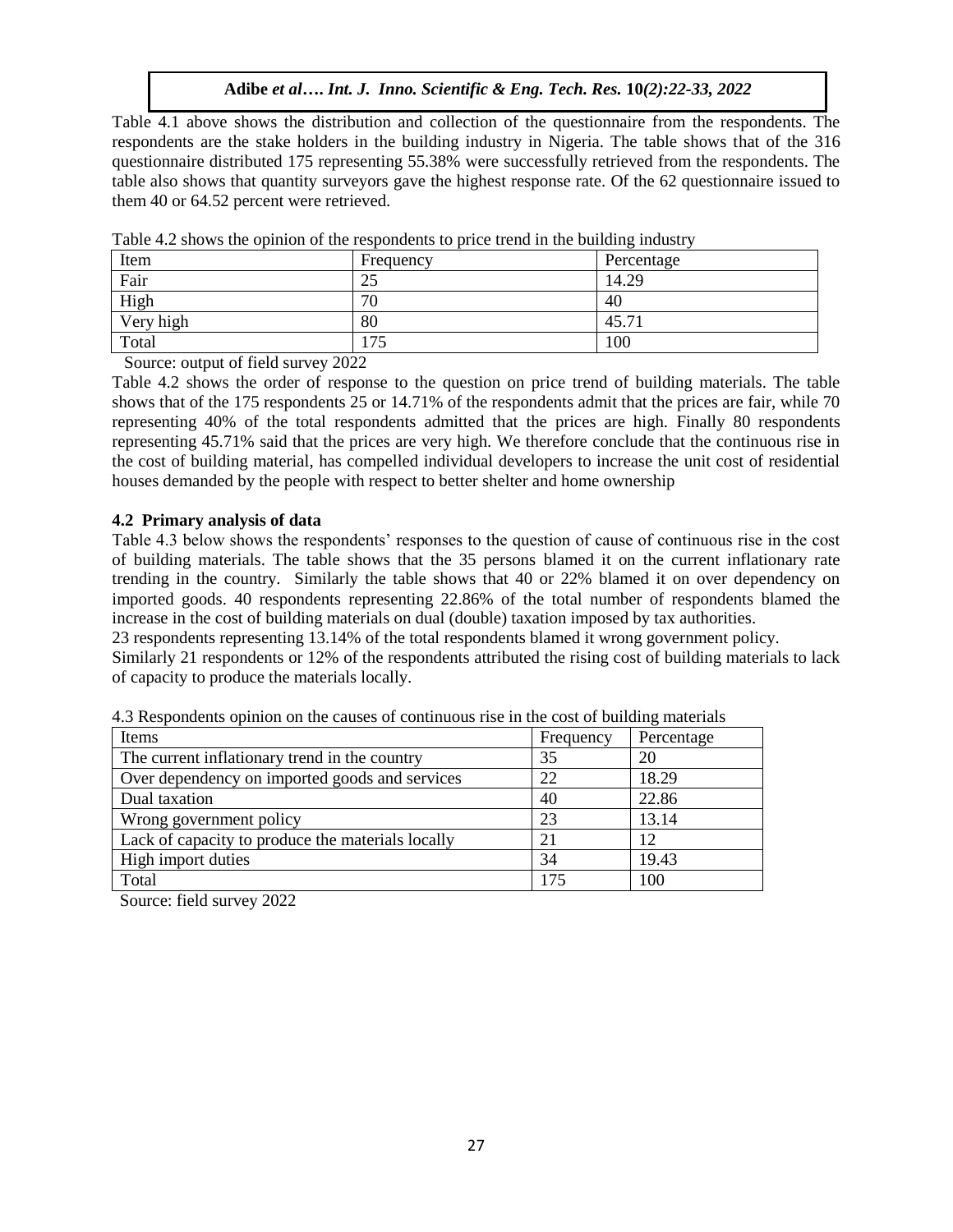Table 4.1 above shows the distribution and collection of the questionnaire from the respondents. The respondents are the stake holders in the building industry in Nigeria. The table shows that of the 316 questionnaire distributed 175 representing 55.38% were successfully retrieved from the respondents. The table also shows that quantity surveyors gave the highest response rate. Of the 62 questionnaire issued to them 40 or 64.52 percent were retrieved.

| Item      | Frequency        | Percentage |
|-----------|------------------|------------|
| Fair      | $\bigcap$<br>لدك | 14.29      |
| High      | 70               | 40         |
| Very high | 80               | 45.71      |
| Total     | .75              | 100        |

Table 4.2 shows the opinion of the respondents to price trend in the building industry

Source: output of field survey 2022

Table 4.2 shows the order of response to the question on price trend of building materials. The table shows that of the 175 respondents 25 or 14.71% of the respondents admit that the prices are fair, while 70 representing 40% of the total respondents admitted that the prices are high. Finally 80 respondents representing 45.71% said that the prices are very high. We therefore conclude that the continuous rise in the cost of building material, has compelled individual developers to increase the unit cost of residential houses demanded by the people with respect to better shelter and home ownership

#### **4.2 Primary analysis of data**

Table 4.3 below shows the respondents' responses to the question of cause of continuous rise in the cost of building materials. The table shows that the 35 persons blamed it on the current inflationary rate trending in the country. Similarly the table shows that 40 or 22% blamed it on over dependency on imported goods. 40 respondents representing 22.86% of the total number of respondents blamed the increase in the cost of building materials on dual (double) taxation imposed by tax authorities.

23 respondents representing 13.14% of the total respondents blamed it wrong government policy.

Similarly 21 respondents or 12% of the respondents attributed the rising cost of building materials to lack of capacity to produce the materials locally.

| Items                                             | Frequency | Percentage |
|---------------------------------------------------|-----------|------------|
| The current inflationary trend in the country     | 35        | 20         |
| Over dependency on imported goods and services    | 22        | 18.29      |
| Dual taxation                                     | 40        | 22.86      |
| Wrong government policy                           | 23        | 13.14      |
| Lack of capacity to produce the materials locally | 21        | 12         |
| High import duties                                | 34        | 19.43      |
| Total                                             | 175       | 100        |

4.3 Respondents opinion on the causes of continuous rise in the cost of building materials

Source: field survey 2022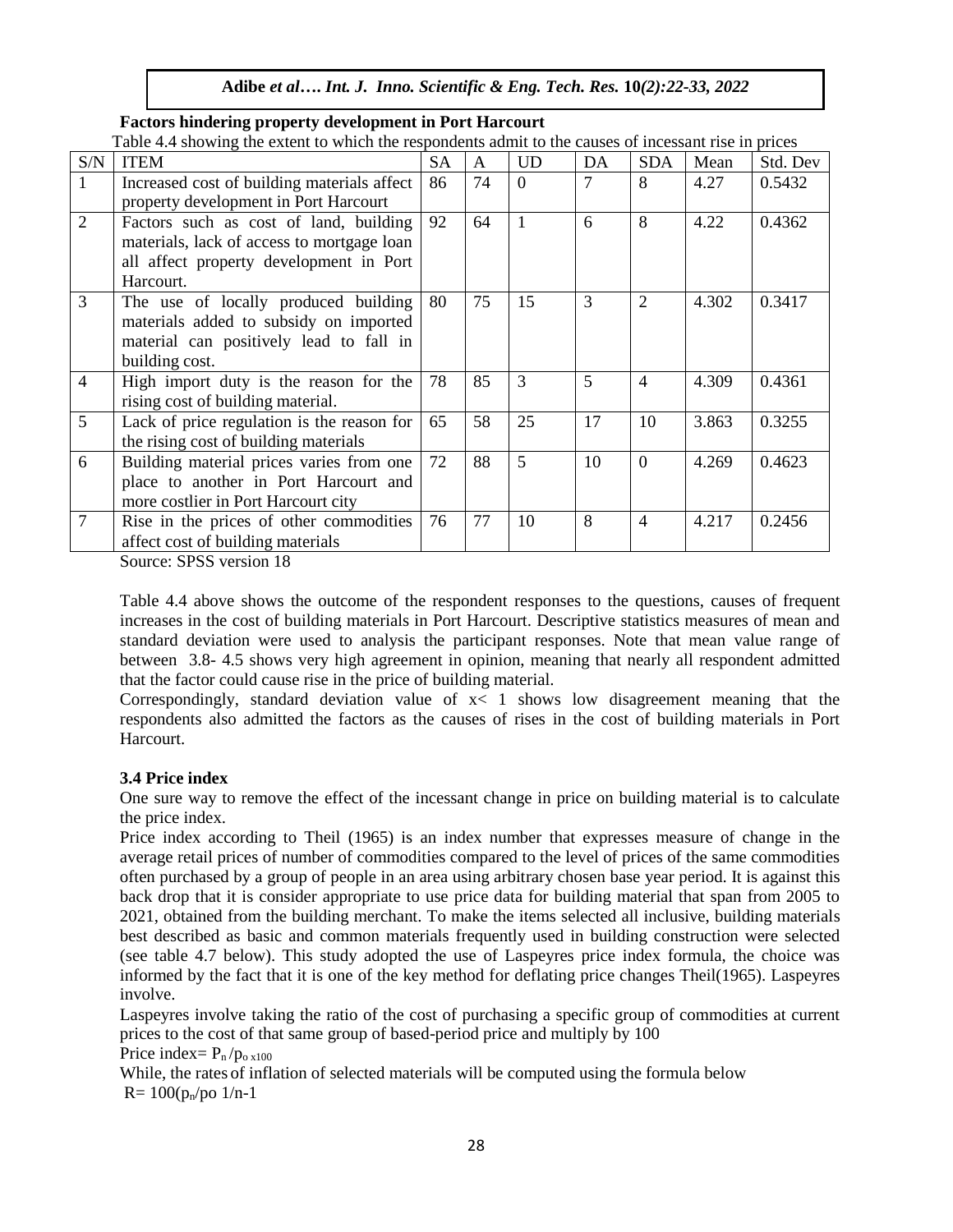|                | Table 4.4 showing the extent to which the respondents admit to the causes of incessant rise in prices |           |    |              |    |                |       |          |  |
|----------------|-------------------------------------------------------------------------------------------------------|-----------|----|--------------|----|----------------|-------|----------|--|
| S/N            | <b>ITEM</b>                                                                                           | <b>SA</b> | A  | <b>UD</b>    | DA | <b>SDA</b>     | Mean  | Std. Dev |  |
| 1              | Increased cost of building materials affect                                                           | 86        | 74 | $\Omega$     | 7  | 8              | 4.27  | 0.5432   |  |
|                | property development in Port Harcourt                                                                 |           |    |              |    |                |       |          |  |
| $\overline{2}$ | Factors such as cost of land, building                                                                | 92        | 64 | $\mathbf{1}$ | 6  | 8              | 4.22  | 0.4362   |  |
|                | materials, lack of access to mortgage loan                                                            |           |    |              |    |                |       |          |  |
|                | all affect property development in Port                                                               |           |    |              |    |                |       |          |  |
|                | Harcourt.                                                                                             |           |    |              |    |                |       |          |  |
| 3              | The use of locally produced building                                                                  | 80        | 75 | 15           | 3  | $\overline{2}$ | 4.302 | 0.3417   |  |
|                | materials added to subsidy on imported                                                                |           |    |              |    |                |       |          |  |
|                | material can positively lead to fall in                                                               |           |    |              |    |                |       |          |  |
|                | building cost.                                                                                        |           |    |              |    |                |       |          |  |
| $\overline{4}$ | High import duty is the reason for the                                                                | 78        | 85 | 3            | 5  | $\overline{4}$ | 4.309 | 0.4361   |  |
|                | rising cost of building material.                                                                     |           |    |              |    |                |       |          |  |
| 5              | Lack of price regulation is the reason for                                                            | 65        | 58 | 25           | 17 | 10             | 3.863 | 0.3255   |  |
|                | the rising cost of building materials                                                                 |           |    |              |    |                |       |          |  |
| 6              | Building material prices varies from one                                                              | 72        | 88 | 5            | 10 | $\overline{0}$ | 4.269 | 0.4623   |  |
|                | place to another in Port Harcourt and                                                                 |           |    |              |    |                |       |          |  |
|                | more costlier in Port Harcourt city                                                                   |           |    |              |    |                |       |          |  |
| 7              | Rise in the prices of other commodities                                                               | 76        | 77 | 10           | 8  | $\overline{4}$ | 4.217 | 0.2456   |  |
|                | affect cost of building materials                                                                     |           |    |              |    |                |       |          |  |

## **Factors hindering property development in Port Harcourt**

Table 4.4 showing the extent to which the respondents admit to the causes of incessant rise in prices

Source: SPSS version 18

Table 4.4 above shows the outcome of the respondent responses to the questions, causes of frequent increases in the cost of building materials in Port Harcourt. Descriptive statistics measures of mean and standard deviation were used to analysis the participant responses. Note that mean value range of between 3.8- 4.5 shows very high agreement in opinion, meaning that nearly all respondent admitted that the factor could cause rise in the price of building material.

Correspondingly, standard deviation value of  $x < 1$  shows low disagreement meaning that the respondents also admitted the factors as the causes of rises in the cost of building materials in Port Harcourt.

## **3.4 Price index**

One sure way to remove the effect of the incessant change in price on building material is to calculate the price index.

Price index according to Theil (1965) is an index number that expresses measure of change in the average retail prices of number of commodities compared to the level of prices of the same commodities often purchased by a group of people in an area using arbitrary chosen base year period. It is against this back drop that it is consider appropriate to use price data for building material that span from 2005 to 2021, obtained from the building merchant. To make the items selected all inclusive, building materials best described as basic and common materials frequently used in building construction were selected (see table 4.7 below). This study adopted the use of Laspeyres price index formula, the choice was informed by the fact that it is one of the key method for deflating price changes Theil(1965). Laspeyres involve.

Laspeyres involve taking the ratio of the cost of purchasing a specific group of commodities at current prices to the cost of that same group of based-period price and multiply by 100

Price index=  $P_n / p_{0x100}$ 

While, the rates of inflation of selected materials will be computed using the formula below  $R = 100(p_n/po 1/n-1)$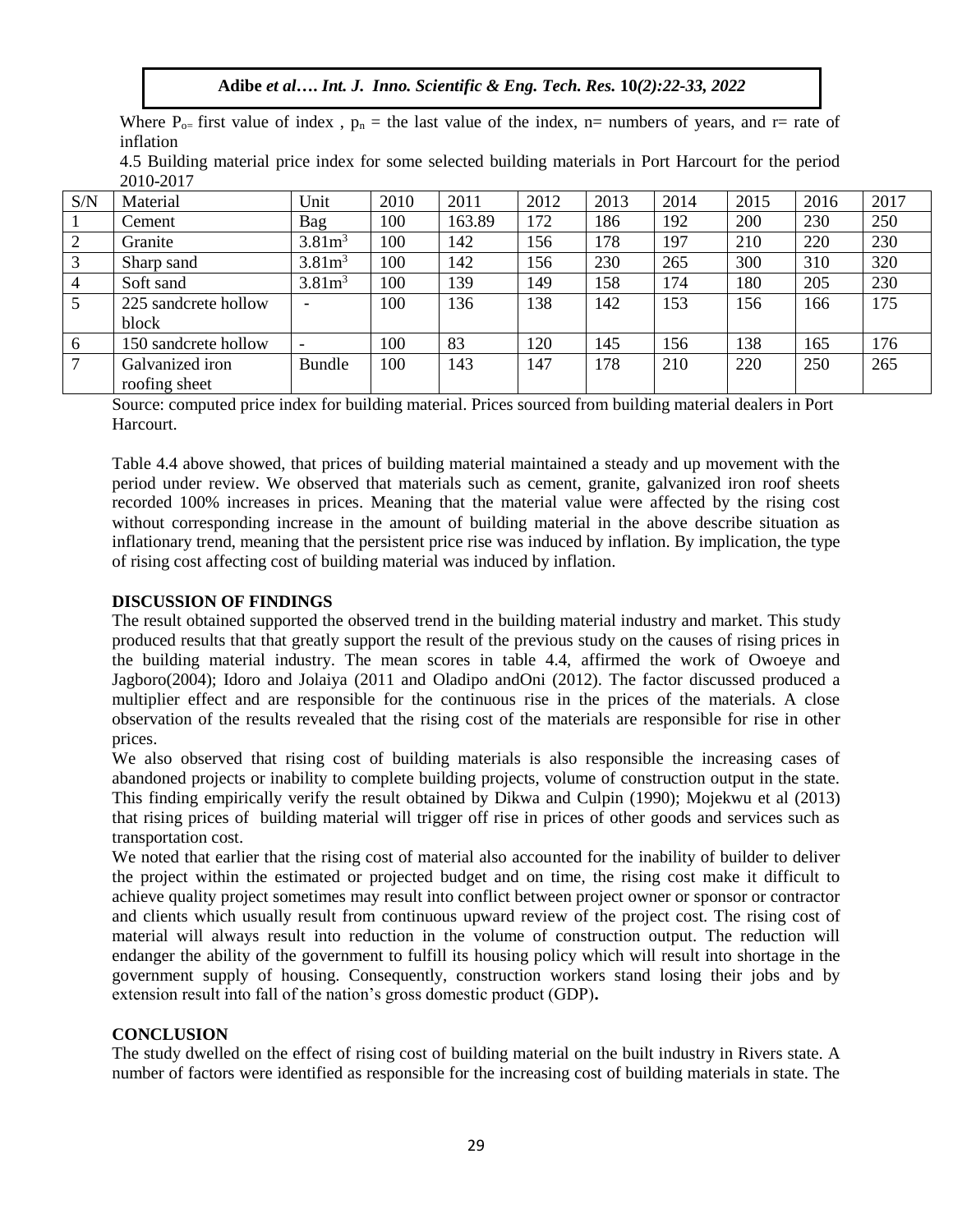Where  $P_{o=}$  first value of index,  $p_n$  = the last value of the index, n= numbers of years, and r= rate of inflation

| 4.5 Building material price index for some selected building materials in Port Harcourt for the period |  |  |  |  |  |  |  |
|--------------------------------------------------------------------------------------------------------|--|--|--|--|--|--|--|
| 2010-2017                                                                                              |  |  |  |  |  |  |  |

| S/N            | Material             | Unit               | 2010 | 2011   | 2012 | 2013 | 2014 | 2015 | 2016 | 2017 |
|----------------|----------------------|--------------------|------|--------|------|------|------|------|------|------|
|                | Cement               | Bag                | 100  | 163.89 | 172  | 186  | 192  | 200  | 230  | 250  |
| 2              | Granite              | $3.81m^3$          | 100  | 142    | 156  | 178  | 197  | 210  | 220  | 230  |
| 3              | Sharp sand           | 3.81m <sup>3</sup> | 100  | 142    | 156  | 230  | 265  | 300  | 310  | 320  |
| $\overline{4}$ | Soft sand            | 3.81m <sup>3</sup> | 100  | 139    | 149  | 158  | 174  | 180  | 205  | 230  |
|                | 225 sandcrete hollow |                    | 100  | 136    | 138  | 142  | 153  | 156  | 166  | 175  |
|                | block                |                    |      |        |      |      |      |      |      |      |
| 6              | 150 sandcrete hollow |                    | 100  | 83     | 120  | 145  | 156  | 138  | 165  | 176  |
|                | Galvanized iron      | <b>Bundle</b>      | 100  | 143    | 147  | 178  | 210  | 220  | 250  | 265  |
|                | roofing sheet        |                    |      |        |      |      |      |      |      |      |

Source: computed price index for building material. Prices sourced from building material dealers in Port **Harcourt** 

Table 4.4 above showed, that prices of building material maintained a steady and up movement with the period under review. We observed that materials such as cement, granite, galvanized iron roof sheets recorded 100% increases in prices. Meaning that the material value were affected by the rising cost without corresponding increase in the amount of building material in the above describe situation as inflationary trend, meaning that the persistent price rise was induced by inflation. By implication, the type of rising cost affecting cost of building material was induced by inflation.

## **DISCUSSION OF FINDINGS**

The result obtained supported the observed trend in the building material industry and market. This study produced results that that greatly support the result of the previous study on the causes of rising prices in the building material industry. The mean scores in table 4.4, affirmed the work of Owoeye and Jagboro(2004); Idoro and Jolaiya (2011 and Oladipo andOni (2012). The factor discussed produced a multiplier effect and are responsible for the continuous rise in the prices of the materials. A close observation of the results revealed that the rising cost of the materials are responsible for rise in other prices.

We also observed that rising cost of building materials is also responsible the increasing cases of abandoned projects or inability to complete building projects, volume of construction output in the state. This finding empirically verify the result obtained by Dikwa and Culpin (1990); Mojekwu et al (2013) that rising prices of building material will trigger off rise in prices of other goods and services such as transportation cost.

We noted that earlier that the rising cost of material also accounted for the inability of builder to deliver the project within the estimated or projected budget and on time, the rising cost make it difficult to achieve quality project sometimes may result into conflict between project owner or sponsor or contractor and clients which usually result from continuous upward review of the project cost. The rising cost of material will always result into reduction in the volume of construction output. The reduction will endanger the ability of the government to fulfill its housing policy which will result into shortage in the government supply of housing. Consequently, construction workers stand losing their jobs and by extension result into fall of the nation's gross domestic product (GDP)**.**

## **CONCLUSION**

The study dwelled on the effect of rising cost of building material on the built industry in Rivers state. A number of factors were identified as responsible for the increasing cost of building materials in state. The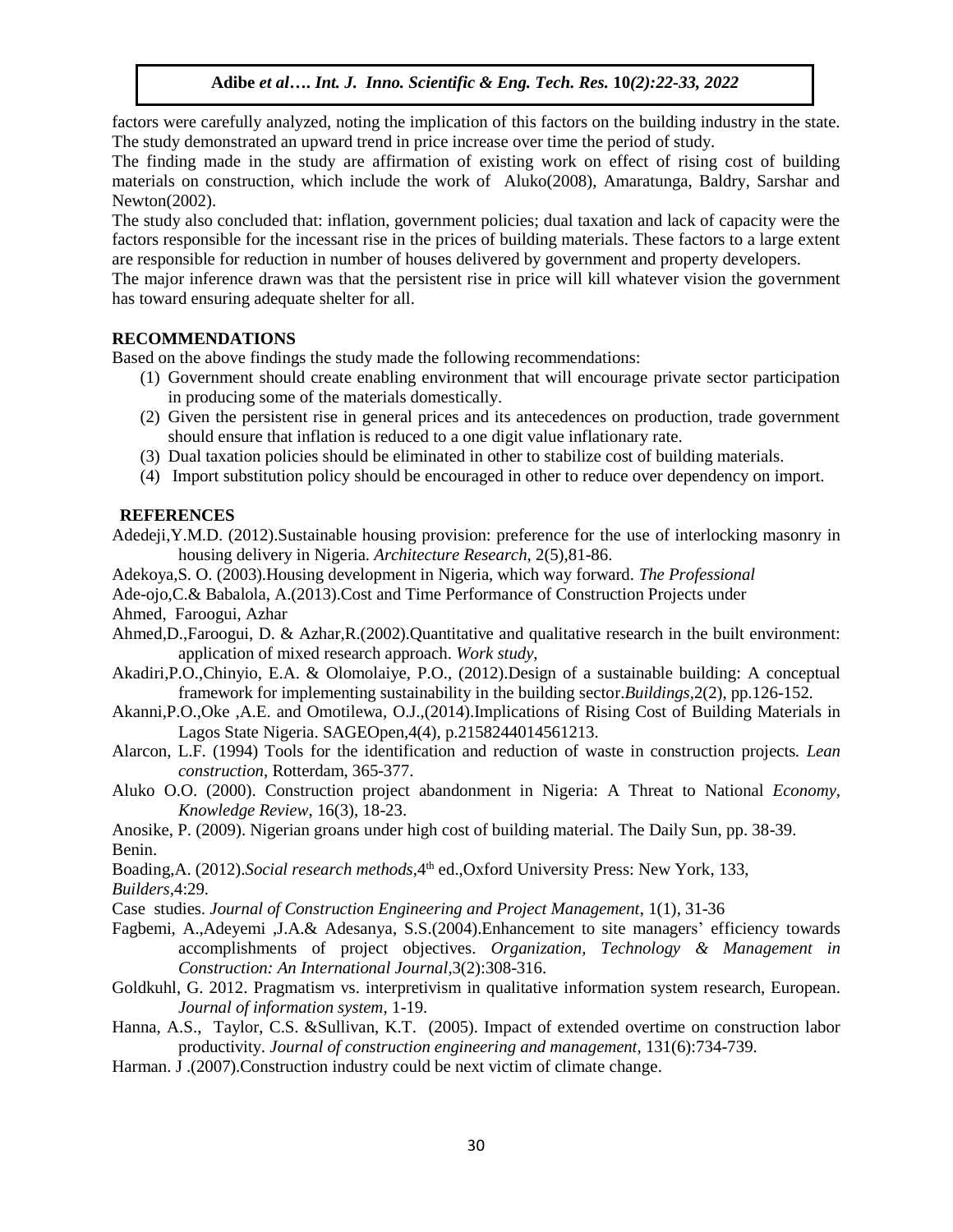factors were carefully analyzed, noting the implication of this factors on the building industry in the state. The study demonstrated an upward trend in price increase over time the period of study.

The finding made in the study are affirmation of existing work on effect of rising cost of building materials on construction, which include the work of Aluko(2008), Amaratunga, Baldry, Sarshar and Newton(2002).

The study also concluded that: inflation, government policies; dual taxation and lack of capacity were the factors responsible for the incessant rise in the prices of building materials. These factors to a large extent are responsible for reduction in number of houses delivered by government and property developers.

The major inference drawn was that the persistent rise in price will kill whatever vision the government has toward ensuring adequate shelter for all.

## **RECOMMENDATIONS**

Based on the above findings the study made the following recommendations:

- (1) Government should create enabling environment that will encourage private sector participation in producing some of the materials domestically.
- (2) Given the persistent rise in general prices and its antecedences on production, trade government should ensure that inflation is reduced to a one digit value inflationary rate.
- (3) Dual taxation policies should be eliminated in other to stabilize cost of building materials.
- (4) Import substitution policy should be encouraged in other to reduce over dependency on import.

## **REFERENCES**

Adedeji,Y.M.D. (2012).Sustainable housing provision: preference for the use of interlocking masonry in housing delivery in Nigeria. *Architecture Research*, 2(5),81-86.

Adekoya,S. O. (2003).Housing development in Nigeria, which way forward*. The Professional*

- Ade-ojo,C.& Babalola, A.(2013).Cost and Time Performance of Construction Projects under Ahmed, Faroogui, Azhar
- Ahmed,D.,Faroogui, D. & Azhar,R.(2002).Quantitative and qualitative research in the built environment: application of mixed research approach. *Work study,*
- Akadiri,P.O.,Chinyio, E.A. & Olomolaiye, P.O., (2012).Design of a sustainable building: A conceptual framework for implementing sustainability in the building sector.*Buildings,*2(2), pp.126-152.
- Akanni,P.O.,Oke ,A.E. and Omotilewa, O.J.,(2014).Implications of Rising Cost of Building Materials in Lagos State Nigeria. SAGEOpen,4(4), p.2158244014561213.
- Alarcon, L.F. (1994) Tools for the identification and reduction of waste in construction projects*. Lean construction*, Rotterdam, 365-377.
- Aluko O.O. (2000). Construction project abandonment in Nigeria: A Threat to National *Economy, Knowledge Review*, 16(3), 18-23.
- Anosike, P. (2009). Nigerian groans under high cost of building material. The Daily Sun, pp. 38-39. Benin.

Boading,A. (2012).*Social research methods*,4th ed.,Oxford University Press: New York, 133, *Builders,*4:29.

- Case studies. *Journal of Construction Engineering and Project Management*, 1(1), 31-36
- Fagbemi, A.,Adeyemi ,J.A.& Adesanya, S.S.(2004).Enhancement to site managers' efficiency towards accomplishments of project objectives. *Organization, Technology & Management in Construction: An International Journal*,3(2):308-316.
- Goldkuhl, G. 2012. Pragmatism vs. interpretivism in qualitative information system research, European. *Journal of information system*, 1-19.
- Hanna, A.S., Taylor, C.S. &Sullivan, K.T. (2005). Impact of extended overtime on construction labor productivity. *Journal of construction engineering and management,* 131(6):734-739.
- Harman. J .(2007).Construction industry could be next victim of climate change.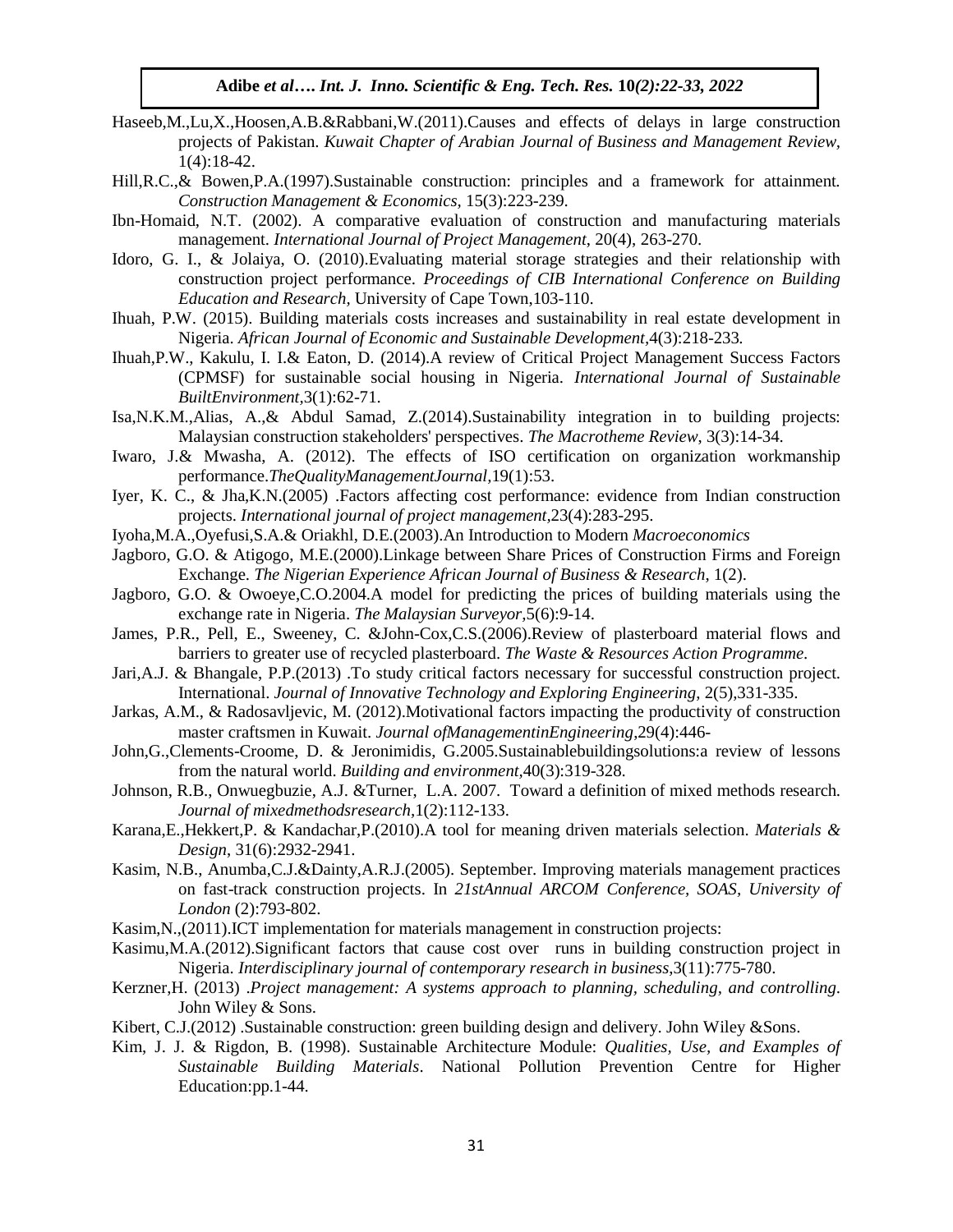- Haseeb,M.,Lu,X.,Hoosen,A.B.&Rabbani,W.(2011).Causes and effects of delays in large construction projects of Pakistan. *Kuwait Chapter of Arabian Journal of Business and Management Review,*  1(4):18-42.
- Hill,R.C.,& Bowen,P.A.(1997).Sustainable construction: principles and a framework for attainment*. Construction Management & Economics,* 15(3):223-239.
- Ibn-Homaid, N.T. (2002). A comparative evaluation of construction and manufacturing materials management. *International Journal of Project Management*, 20(4), 263-270.
- Idoro, G. I., & Jolaiya, O. (2010).Evaluating material storage strategies and their relationship with construction project performance. *Proceedings of CIB International Conference on Building Education and Research,* University of Cape Town,103-110.
- Ihuah, P.W. (2015). Building materials costs increases and sustainability in real estate development in Nigeria. *African Journal of Economic and Sustainable Development,*4(3):218-233*.*
- Ihuah,P.W., Kakulu, I. I.& Eaton, D. (2014).A review of Critical Project Management Success Factors (CPMSF) for sustainable social housing in Nigeria*. International Journal of Sustainable BuiltEnvironment,*3(1):62-71.
- Isa,N.K.M.,Alias, A.,& Abdul Samad, Z.(2014).Sustainability integration in to building projects: Malaysian construction stakeholders' perspectives. *The Macrotheme Review*, 3(3):14-34.
- Iwaro, J.& Mwasha, A. (2012). The effects of ISO certification on organization workmanship performance.*TheQualityManagementJournal,*19(1):53.
- Iyer, K. C., & Jha,K.N.(2005) .Factors affecting cost performance: evidence from Indian construction projects. *International journal of project management,*23(4):283-295.
- Iyoha,M.A.,Oyefusi,S.A.& Oriakhl, D.E.(2003).An Introduction to Modern *Macroeconomics*
- Jagboro, G.O. & Atigogo, M.E.(2000).Linkage between Share Prices of Construction Firms and Foreign Exchange. *The Nigerian Experience African Journal of Business & Research*, 1(2).
- Jagboro, G.O. & Owoeye,C.O.2004.A model for predicting the prices of building materials using the exchange rate in Nigeria. *The Malaysian Surveyor,*5(6):9-14.
- James, P.R., Pell, E., Sweeney, C. &John-Cox,C.S.(2006).Review of plasterboard material flows and barriers to greater use of recycled plasterboard. *The Waste & Resources Action Programme*.
- Jari,A.J. & Bhangale, P.P.(2013) .To study critical factors necessary for successful construction project. International. *Journal of Innovative Technology and Exploring Engineering*, 2(5),331-335.
- Jarkas, A.M., & Radosavljevic, M. (2012).Motivational factors impacting the productivity of construction master craftsmen in Kuwait. *Journal ofManagementinEngineering*,29(4):446-
- John,G.,Clements-Croome, D. & Jeronimidis, G.2005.Sustainablebuildingsolutions:a review of lessons from the natural world. *Building and environment,*40(3):319-328.
- Johnson, R.B., Onwuegbuzie, A.J. &Turner, L.A. 2007. Toward a definition of mixed methods research. *Journal of mixedmethodsresearch,*1(2):112-133.
- Karana,E.,Hekkert,P. & Kandachar,P.(2010).A tool for meaning driven materials selection. *Materials & Design*, 31(6):2932-2941.
- Kasim, N.B., Anumba,C.J.&Dainty,A.R.J.(2005). September. Improving materials management practices on fast-track construction projects. In *21stAnnual ARCOM Conference, SOAS, University of London* (2):793-802.
- Kasim,N.,(2011).ICT implementation for materials management in construction projects:
- Kasimu,M.A.(2012).Significant factors that cause cost over runs in building construction project in Nigeria. *Interdisciplinary journal of contemporary research in business*,3(11):775-780.
- Kerzner,H. (2013) .*Project management: A systems approach to planning, scheduling, and controlling*. John Wiley & Sons.
- Kibert, C.J.(2012) .Sustainable construction: green building design and delivery. John Wiley &Sons.
- Kim, J. J. & Rigdon, B. (1998). Sustainable Architecture Module: *Qualities, Use, and Examples of Sustainable Building Materials*. National Pollution Prevention Centre for Higher Education:pp.1-44.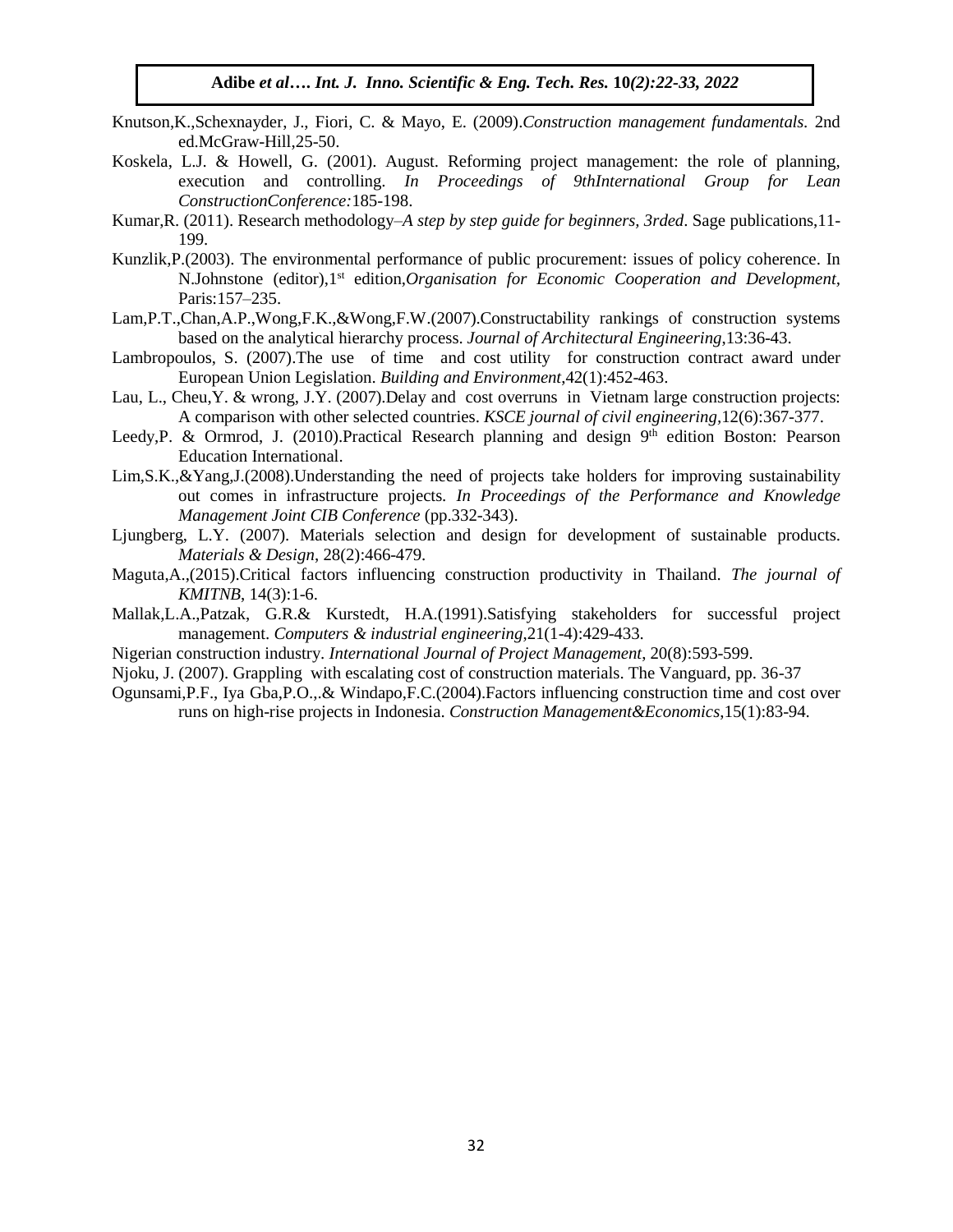- Knutson,K.,Schexnayder, J., Fiori, C. & Mayo, E. (2009).*Construction management fundamentals.* 2nd ed.McGraw-Hill,25-50.
- Koskela, L.J. & Howell, G. (2001). August. Reforming project management: the role of planning, execution and controlling. *In Proceedings of 9thInternational Group for Lean ConstructionConference:*185-198.
- Kumar,R. (2011). Research methodology–*A step by step guide for beginners, 3rded*. Sage publications,11- 199.
- Kunzlik,P.(2003). The environmental performance of public procurement: issues of policy coherence. In N.Johnstone (editor),1st edition,*Organisation for Economic Cooperation and Development,*  Paris:157–235.
- Lam,P.T.,Chan,A.P.,Wong,F.K.,&Wong,F.W.(2007).Constructability rankings of construction systems based on the analytical hierarchy process. *Journal of Architectural Engineering*,13:36-43.
- Lambropoulos, S. (2007).The use of time and cost utility for construction contract award under European Union Legislation. *Building and Environment*,42(1):452-463.
- Lau, L., Cheu,Y. & wrong, J.Y. (2007).Delay and cost overruns in Vietnam large construction projects: A comparison with other selected countries. *KSCE journal of civil engineering,*12(6):367-377.
- Leedy, P. & Ormrod, J. (2010). Practical Research planning and design 9<sup>th</sup> edition Boston: Pearson Education International.
- Lim,S.K.,&Yang,J.(2008).Understanding the need of projects take holders for improving sustainability out comes in infrastructure projects*. In Proceedings of the Performance and Knowledge Management Joint CIB Conference* (pp.332-343).
- Ljungberg, L.Y. (2007). Materials selection and design for development of sustainable products. *Materials & Design*, 28(2):466-479.
- Maguta,A.,(2015).Critical factors influencing construction productivity in Thailand. *The journal of KMITNB*, 14(3):1-6.
- Mallak,L.A.,Patzak, G.R.& Kurstedt, H.A.(1991).Satisfying stakeholders for successful project management. *Computers & industrial engineering*,21(1-4):429-433.
- Nigerian construction industry. *International Journal of Project Management*, 20(8):593-599.
- Njoku, J. (2007). Grappling with escalating cost of construction materials. The Vanguard, pp. 36-37
- Ogunsami,P.F., Iya Gba,P.O.,.& Windapo,F.C.(2004).Factors influencing construction time and cost over runs on high-rise projects in Indonesia. *Construction Management&Economics*,15(1):83-94.